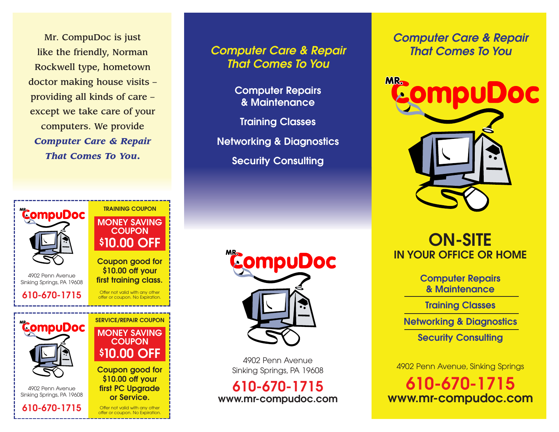Mr. CompuDoc is just like the friendly, Norman Rockwell type, hometown doctor making house visits – providing all kinds of care – except we take care of your computers. We provide *Computer Care & Repair That Comes To You***.** 



### **Computer Care & Repair That Comes To You**

**Computer Repairs & Maintenance**

**Training Classes**

**Networking & Diagnostics**

**Security Consulting**



4902 Penn Avenue Sinking Springs, PA 19608

**610-670-1715 www.mr-compudoc.com** **Computer Care & Repair That Comes To You**



# **ON-SITE IN YOUR OFFICE OR HOME**

**Computer Repairs & Maintenance**

**Training Classes**

**Networking & Diagnostics**

**Security Consulting**

4902 Penn Avenue, Sinking Springs

**610-670-1715 www.mr-compudoc.com**